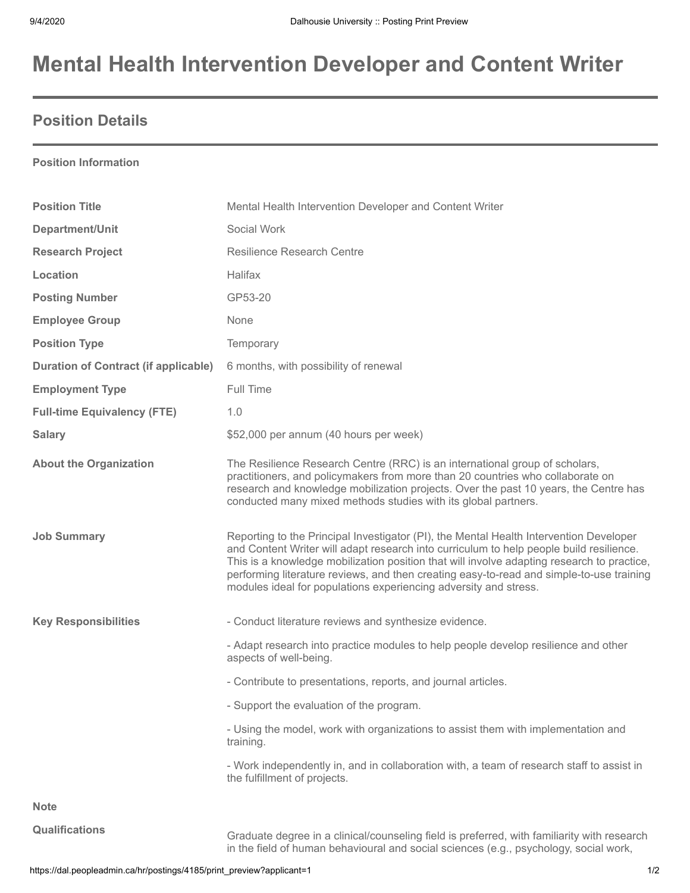# **Mental Health Intervention Developer and Content Writer**

### **Position Details**

#### **Position Information**

| <b>Position Title</b>                       | Mental Health Intervention Developer and Content Writer                                                                                                                                                                                                                                                                                                                                                                                         |
|---------------------------------------------|-------------------------------------------------------------------------------------------------------------------------------------------------------------------------------------------------------------------------------------------------------------------------------------------------------------------------------------------------------------------------------------------------------------------------------------------------|
| Department/Unit                             | Social Work                                                                                                                                                                                                                                                                                                                                                                                                                                     |
| <b>Research Project</b>                     | <b>Resilience Research Centre</b>                                                                                                                                                                                                                                                                                                                                                                                                               |
| Location                                    | Halifax                                                                                                                                                                                                                                                                                                                                                                                                                                         |
| <b>Posting Number</b>                       | GP53-20                                                                                                                                                                                                                                                                                                                                                                                                                                         |
| <b>Employee Group</b>                       | None                                                                                                                                                                                                                                                                                                                                                                                                                                            |
| <b>Position Type</b>                        | Temporary                                                                                                                                                                                                                                                                                                                                                                                                                                       |
| <b>Duration of Contract (if applicable)</b> | 6 months, with possibility of renewal                                                                                                                                                                                                                                                                                                                                                                                                           |
| <b>Employment Type</b>                      | Full Time                                                                                                                                                                                                                                                                                                                                                                                                                                       |
| <b>Full-time Equivalency (FTE)</b>          | 1.0                                                                                                                                                                                                                                                                                                                                                                                                                                             |
| <b>Salary</b>                               | \$52,000 per annum (40 hours per week)                                                                                                                                                                                                                                                                                                                                                                                                          |
| <b>About the Organization</b>               | The Resilience Research Centre (RRC) is an international group of scholars,<br>practitioners, and policymakers from more than 20 countries who collaborate on<br>research and knowledge mobilization projects. Over the past 10 years, the Centre has<br>conducted many mixed methods studies with its global partners.                                                                                                                         |
| <b>Job Summary</b>                          | Reporting to the Principal Investigator (PI), the Mental Health Intervention Developer<br>and Content Writer will adapt research into curriculum to help people build resilience.<br>This is a knowledge mobilization position that will involve adapting research to practice,<br>performing literature reviews, and then creating easy-to-read and simple-to-use training<br>modules ideal for populations experiencing adversity and stress. |
| <b>Key Responsibilities</b>                 | - Conduct literature reviews and synthesize evidence.                                                                                                                                                                                                                                                                                                                                                                                           |
|                                             | - Adapt research into practice modules to help people develop resilience and other<br>aspects of well-being.                                                                                                                                                                                                                                                                                                                                    |
|                                             | - Contribute to presentations, reports, and journal articles.                                                                                                                                                                                                                                                                                                                                                                                   |
|                                             | - Support the evaluation of the program.                                                                                                                                                                                                                                                                                                                                                                                                        |
|                                             | - Using the model, work with organizations to assist them with implementation and<br>training.                                                                                                                                                                                                                                                                                                                                                  |
|                                             | - Work independently in, and in collaboration with, a team of research staff to assist in<br>the fulfillment of projects.                                                                                                                                                                                                                                                                                                                       |
| <b>Note</b>                                 |                                                                                                                                                                                                                                                                                                                                                                                                                                                 |
| <b>Qualifications</b>                       | Graduate degree in a clinical/counseling field is preferred, with familiarity with research<br>in the field of human behavioural and social sciences (e.g., psychology, social work,                                                                                                                                                                                                                                                            |